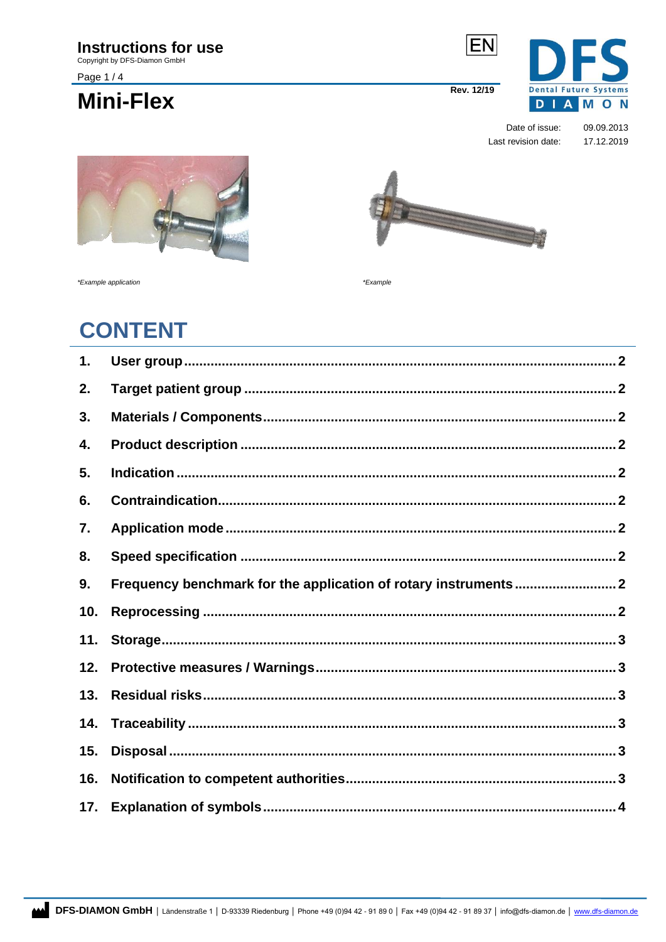Copyright by DFS-Diamon GmbH

Page 1/4

## **Mini-Flex**

**EN** 5 **Dental Future Systems Rev. 12/19** DIAMON

> Date of issue: 09.09.2013 Last revision date: 17.12.2019



\*Example application

\*Example

## **CONTENT**

<span id="page-0-0"></span>

| 1.  |  |
|-----|--|
| 2.  |  |
| 3.  |  |
| 4.  |  |
| 5.  |  |
| 6.  |  |
| 7.  |  |
| 8.  |  |
| 9.  |  |
| 10. |  |
| 11. |  |
| 12. |  |
| 13. |  |
| 14. |  |
| 15. |  |
| 16. |  |
| 17. |  |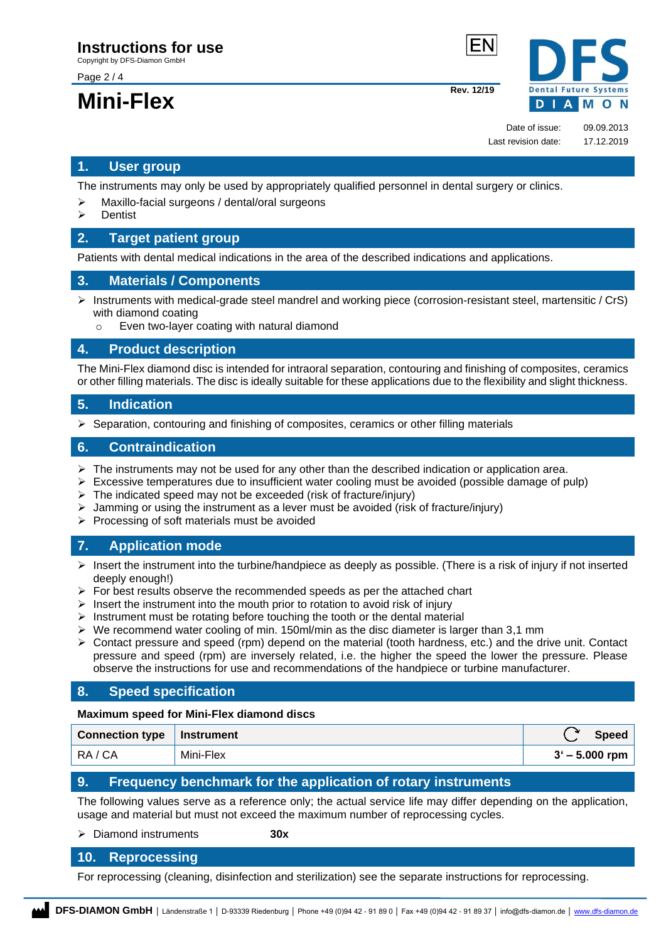Copyright by DFS-Diamon GmbH

Page 2 / 4

# **Mini-Flex** Rev. 12/19



Date of issue: 09.09.2013 Last revision date: 17.12.2019

## **1. User group**

The instruments may only be used by appropriately qualified personnel in dental surgery or clinics.

- ➢ Maxillo-facial surgeons / dental/oral surgeons
- **Dentist**

## <span id="page-1-0"></span>**2. Target patient group**

Patients with dental medical indications in the area of the described indications and applications.

## <span id="page-1-1"></span>**3. Materials / Components**

- $\triangleright$  Instruments with medical-grade steel mandrel and working piece (corrosion-resistant steel, martensitic / CrS) with diamond coating
	- Even two-layer coating with natural diamond

#### <span id="page-1-2"></span>**4. Product description**

The Mini-Flex diamond disc is intended for intraoral separation, contouring and finishing of composites, ceramics or other filling materials. The disc is ideally suitable for these applications due to the flexibility and slight thickness.

## <span id="page-1-3"></span>**5. Indication**

 $\triangleright$  Separation, contouring and finishing of composites, ceramics or other filling materials

## <span id="page-1-4"></span>**6. Contraindication**

- $\triangleright$  The instruments may not be used for any other than the described indication or application area.
- $\triangleright$  Excessive temperatures due to insufficient water cooling must be avoided (possible damage of pulp)
- ➢ The indicated speed may not be exceeded (risk of fracture/injury)
- Jamming or using the instrument as a lever must be avoided (risk of fracture/injury)
- ➢ Processing of soft materials must be avoided

## <span id="page-1-5"></span>**7. Application mode**

- $\triangleright$  Insert the instrument into the turbine/handpiece as deeply as possible. (There is a risk of injury if not inserted deeply enough!)
- $\triangleright$  For best results observe the recommended speeds as per the attached chart
- $\triangleright$  Insert the instrument into the mouth prior to rotation to avoid risk of injury
- ➢ Instrument must be rotating before touching the tooth or the dental material
- $\triangleright$  We recommend water cooling of min. 150ml/min as the disc diameter is larger than 3,1 mm
- ➢ Contact pressure and speed (rpm) depend on the material (tooth hardness, etc.) and the drive unit. Contact pressure and speed (rpm) are inversely related, i.e. the higher the speed the lower the pressure. Please observe the instructions for use and recommendations of the handpiece or turbine manufacturer.

## <span id="page-1-6"></span>**8. Speed specification**

#### **Maximum speed for Mini-Flex diamond discs**

| Connection type   Instrument |           | <b>Speed</b>     |
|------------------------------|-----------|------------------|
| RA/CA                        | Mini-Flex | $3' - 5.000$ rpm |

## <span id="page-1-7"></span>**9. Frequency benchmark for the application of rotary instruments**

The following values serve as a reference only; the actual service life may differ depending on the application, usage and material but must not exceed the maximum number of reprocessing cycles.

#### ➢ Diamond instruments **30x**

## <span id="page-1-8"></span>**10. Reprocessing**

For reprocessing (cleaning, disinfection and sterilization) see the separate instructions for reprocessing.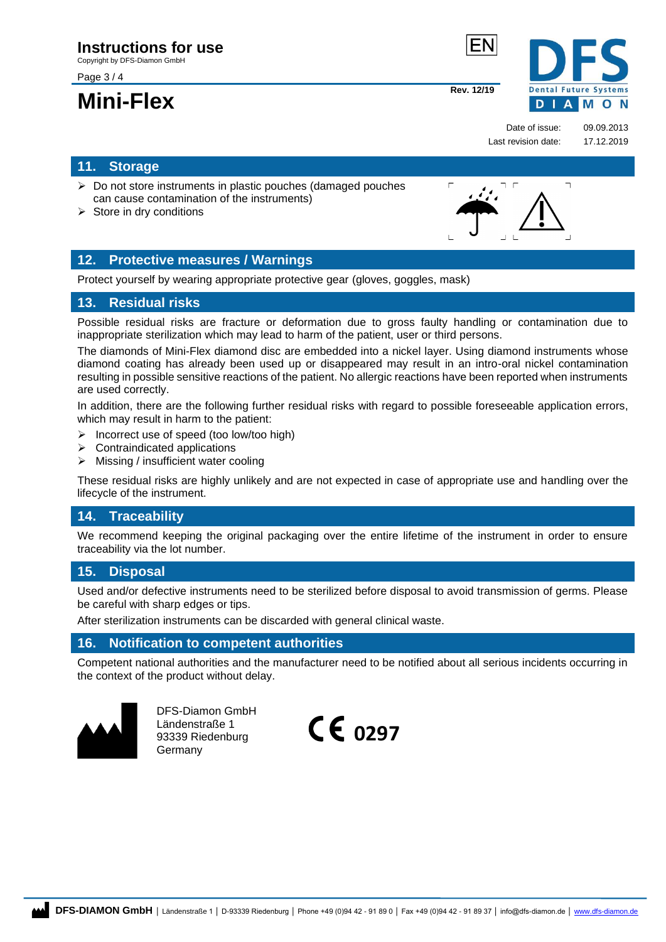Copyright by DFS-Diamon GmbH

Page 3 / 4

## **Mini-Flex** Rev. 12/19



 $\overline{\phantom{a}}$ 

Date of issue: 09.09.2013 Last revision date: 17.12.2019

## <span id="page-2-0"></span>**11. Storage**

- ➢ Do not store instruments in plastic pouches (damaged pouches can cause contamination of the instruments)
- $\triangleright$  Store in dry conditions

## <span id="page-2-1"></span>**12. Protective measures / Warnings**

Protect yourself by wearing appropriate protective gear (gloves, goggles, mask)

## <span id="page-2-2"></span>**13. Residual risks**

Possible residual risks are fracture or deformation due to gross faulty handling or contamination due to inappropriate sterilization which may lead to harm of the patient, user or third persons.

The diamonds of Mini-Flex diamond disc are embedded into a nickel layer. Using diamond instruments whose diamond coating has already been used up or disappeared may result in an intro-oral nickel contamination resulting in possible sensitive reactions of the patient. No allergic reactions have been reported when instruments are used correctly.

In addition, there are the following further residual risks with regard to possible foreseeable application errors, which may result in harm to the patient:

- ➢ Incorrect use of speed (too low/too high)
- $\triangleright$  Contraindicated applications
- ➢ Missing / insufficient water cooling

These residual risks are highly unlikely and are not expected in case of appropriate use and handling over the lifecycle of the instrument.

## <span id="page-2-3"></span>**14. Traceability**

We recommend keeping the original packaging over the entire lifetime of the instrument in order to ensure traceability via the lot number.

## <span id="page-2-4"></span>**15. Disposal**

Used and/or defective instruments need to be sterilized before disposal to avoid transmission of germs. Please be careful with sharp edges or tips.

After sterilization instruments can be discarded with general clinical waste.

## <span id="page-2-5"></span>**16. Notification to competent authorities**

Competent national authorities and the manufacturer need to be notified about all serious incidents occurring in the context of the product without delay.



DFS-Diamon GmbH Ländenstraße 1 93339 Riedenburg Germany